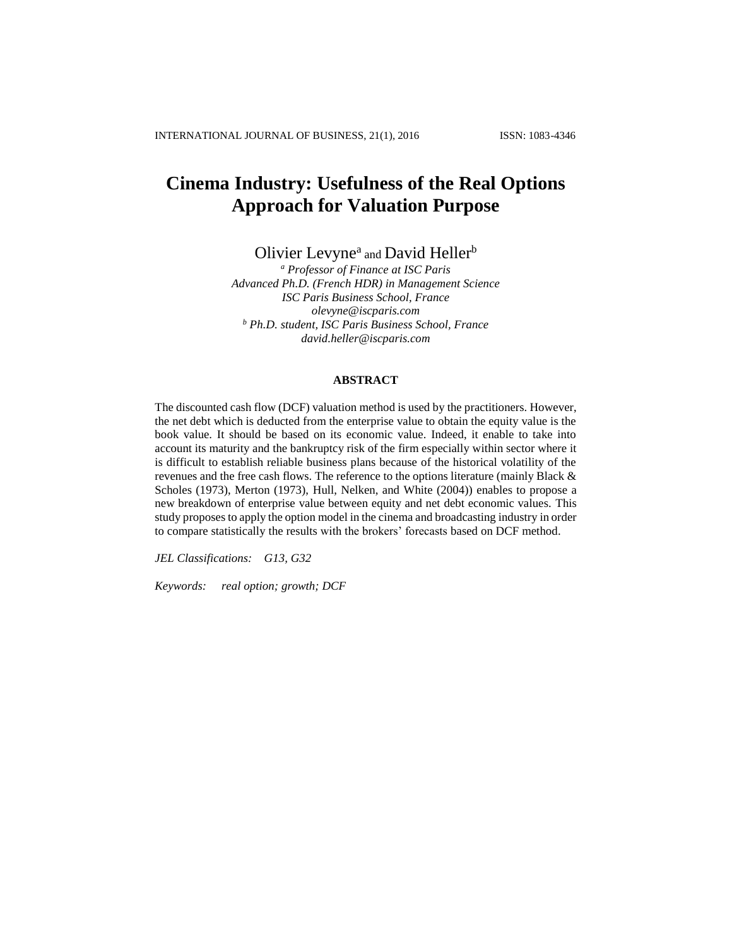# **Cinema Industry: Usefulness of the Real Options Approach for Valuation Purpose**

Olivier Levyne<sup>a</sup> and David Heller<sup>b</sup>

*<sup>a</sup> Professor of Finance at ISC Paris Advanced Ph.D. (French HDR) in Management Science ISC Paris Business School, France olevyne@iscparis.com <sup>b</sup> Ph.D. student, ISC Paris Business School, France david.heller@iscparis.com*

#### **ABSTRACT**

The discounted cash flow (DCF) valuation method is used by the practitioners. However, the net debt which is deducted from the enterprise value to obtain the equity value is the book value. It should be based on its economic value. Indeed, it enable to take into account its maturity and the bankruptcy risk of the firm especially within sector where it is difficult to establish reliable business plans because of the historical volatility of the revenues and the free cash flows. The reference to the options literature (mainly Black & Scholes (1973), Merton (1973), Hull, Nelken, and White (2004)) enables to propose a new breakdown of enterprise value between equity and net debt economic values. This study proposes to apply the option model in the cinema and broadcasting industry in order to compare statistically the results with the brokers' forecasts based on DCF method.

*JEL Classifications: G13, G32*

*Keywords: real option; growth; DCF*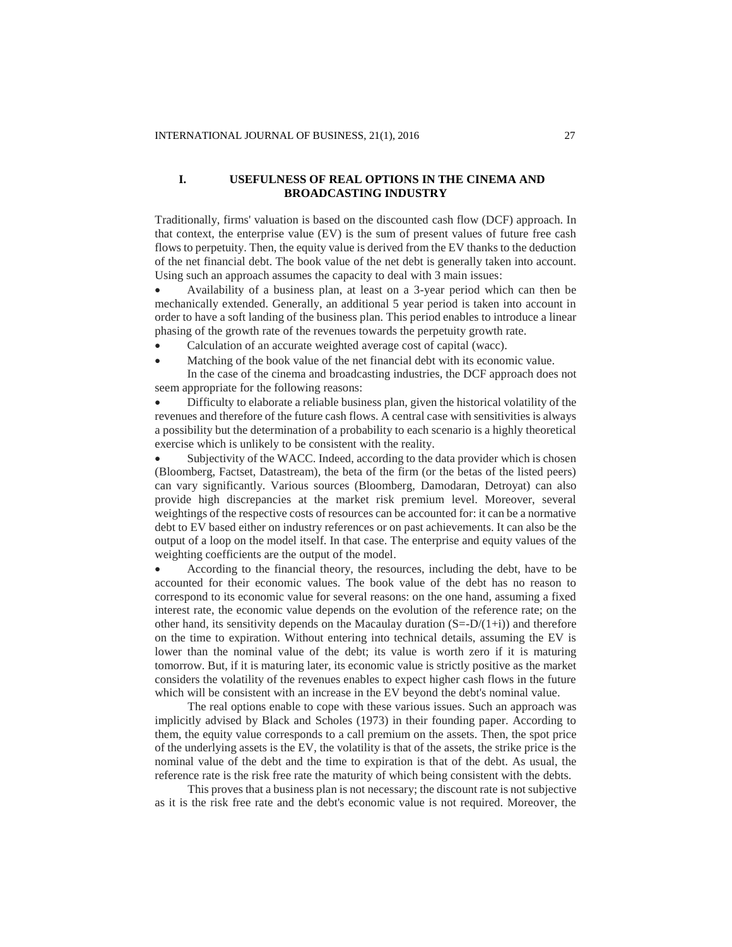## **I. USEFULNESS OF REAL OPTIONS IN THE CINEMA AND BROADCASTING INDUSTRY**

Traditionally, firms' valuation is based on the discounted cash flow (DCF) approach. In that context, the enterprise value (EV) is the sum of present values of future free cash flows to perpetuity. Then, the equity value is derived from the EV thanks to the deduction of the net financial debt. The book value of the net debt is generally taken into account. Using such an approach assumes the capacity to deal with 3 main issues:

 Availability of a business plan, at least on a 3-year period which can then be mechanically extended. Generally, an additional 5 year period is taken into account in order to have a soft landing of the business plan. This period enables to introduce a linear phasing of the growth rate of the revenues towards the perpetuity growth rate.

- Calculation of an accurate weighted average cost of capital (wacc).
- Matching of the book value of the net financial debt with its economic value.

In the case of the cinema and broadcasting industries, the DCF approach does not seem appropriate for the following reasons:

 Difficulty to elaborate a reliable business plan, given the historical volatility of the revenues and therefore of the future cash flows. A central case with sensitivities is always a possibility but the determination of a probability to each scenario is a highly theoretical exercise which is unlikely to be consistent with the reality.

 Subjectivity of the WACC. Indeed, according to the data provider which is chosen (Bloomberg, Factset, Datastream), the beta of the firm (or the betas of the listed peers) can vary significantly. Various sources (Bloomberg, Damodaran, Detroyat) can also provide high discrepancies at the market risk premium level. Moreover, several weightings of the respective costs of resources can be accounted for: it can be a normative debt to EV based either on industry references or on past achievements. It can also be the output of a loop on the model itself. In that case. The enterprise and equity values of the weighting coefficients are the output of the model.

 According to the financial theory, the resources, including the debt, have to be accounted for their economic values. The book value of the debt has no reason to correspond to its economic value for several reasons: on the one hand, assuming a fixed interest rate, the economic value depends on the evolution of the reference rate; on the other hand, its sensitivity depends on the Macaulay duration  $(S=-D/(1+i))$  and therefore on the time to expiration. Without entering into technical details, assuming the EV is lower than the nominal value of the debt; its value is worth zero if it is maturing tomorrow. But, if it is maturing later, its economic value is strictly positive as the market considers the volatility of the revenues enables to expect higher cash flows in the future which will be consistent with an increase in the EV beyond the debt's nominal value.

The real options enable to cope with these various issues. Such an approach was implicitly advised by Black and Scholes (1973) in their founding paper. According to them, the equity value corresponds to a call premium on the assets. Then, the spot price of the underlying assets is the EV, the volatility is that of the assets, the strike price is the nominal value of the debt and the time to expiration is that of the debt. As usual, the reference rate is the risk free rate the maturity of which being consistent with the debts.

This proves that a business plan is not necessary; the discount rate is not subjective as it is the risk free rate and the debt's economic value is not required. Moreover, the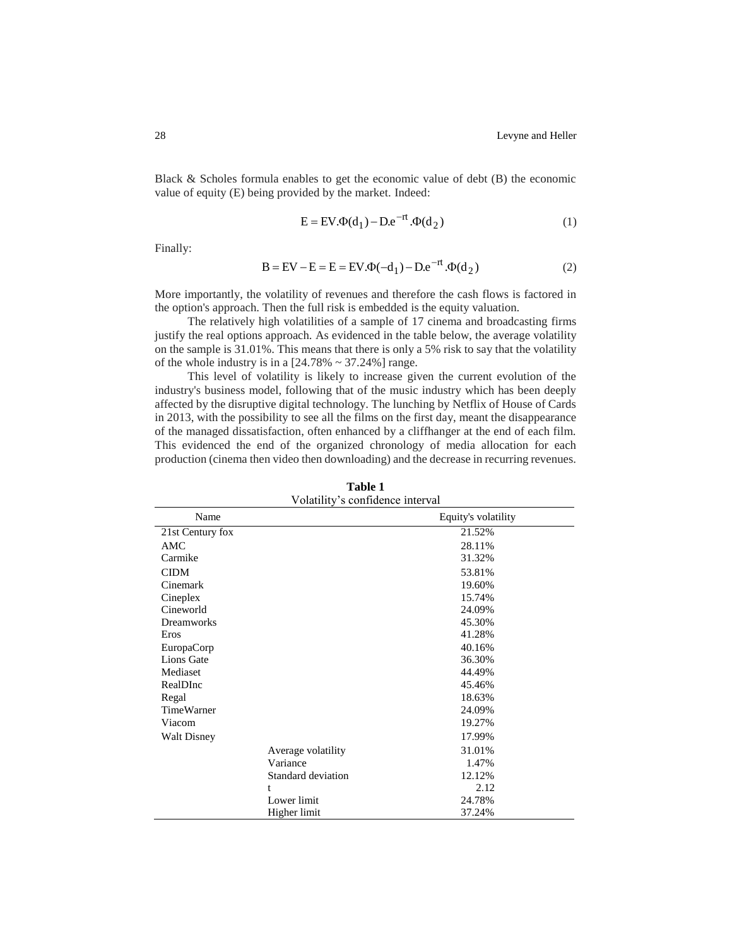Black & Scholes formula enables to get the economic value of debt (B) the economic value of equity (E) being provided by the market. Indeed:

$$
E = EV. \Phi(d_1) - De^{-rt}.\Phi(d_2)
$$
 (1)

Finally:

$$
B = EV - E = E = EV. \Phi(-d_1) - De^{-rt}. \Phi(d_2)
$$
 (2)

More importantly, the volatility of revenues and therefore the cash flows is factored in the option's approach. Then the full risk is embedded is the equity valuation.

The relatively high volatilities of a sample of 17 cinema and broadcasting firms justify the real options approach. As evidenced in the table below, the average volatility on the sample is 31.01%. This means that there is only a 5% risk to say that the volatility of the whole industry is in a  $[24.78\% \sim 37.24\%]$  range.

This level of volatility is likely to increase given the current evolution of the industry's business model, following that of the music industry which has been deeply affected by the disruptive digital technology. The lunching by Netflix of House of Cards in 2013, with the possibility to see all the films on the first day, meant the disappearance of the managed dissatisfaction, often enhanced by a cliffhanger at the end of each film. This evidenced the end of the organized chronology of media allocation for each production (cinema then video then downloading) and the decrease in recurring revenues.

| Volatility's confidence interval |                    |                     |  |  |
|----------------------------------|--------------------|---------------------|--|--|
| Name                             |                    | Equity's volatility |  |  |
| 21st Century fox                 |                    | 21.52%              |  |  |
| <b>AMC</b>                       |                    | 28.11%              |  |  |
| Carmike                          |                    | 31.32%              |  |  |
| <b>CIDM</b>                      |                    | 53.81%              |  |  |
| Cinemark                         |                    | 19.60%              |  |  |
| Cineplex                         |                    | 15.74%              |  |  |
| Cineworld                        |                    | 24.09%              |  |  |
| <b>Dreamworks</b>                |                    | 45.30%              |  |  |
| Eros                             |                    | 41.28%              |  |  |
| EuropaCorp                       |                    | 40.16%              |  |  |
| Lions Gate                       |                    | 36.30%              |  |  |
| Mediaset                         |                    | 44.49%              |  |  |
| RealDInc                         |                    | 45.46%              |  |  |
| Regal                            |                    | 18.63%              |  |  |
| <b>TimeWarner</b>                |                    | 24.09%              |  |  |
| Viacom                           |                    | 19.27%              |  |  |
| <b>Walt Disney</b>               |                    | 17.99%              |  |  |
|                                  | Average volatility | 31.01%              |  |  |
|                                  | Variance           | 1.47%               |  |  |
|                                  | Standard deviation | 12.12%              |  |  |
|                                  | t                  | 2.12                |  |  |
|                                  | Lower limit        | 24.78%              |  |  |
|                                  | Higher limit       | 37.24%              |  |  |

| Table 1                       |  |
|-------------------------------|--|
| Volotility's confidence inton |  |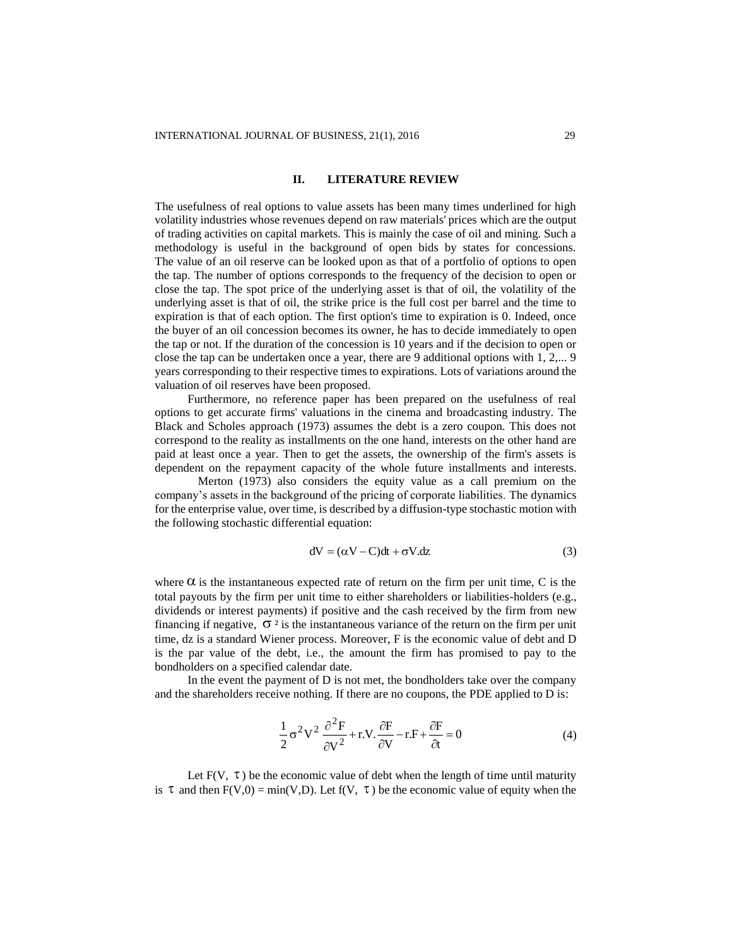#### **II. LITERATURE REVIEW**

The usefulness of real options to value assets has been many times underlined for high volatility industries whose revenues depend on raw materials' prices which are the output of trading activities on capital markets. This is mainly the case of oil and mining. Such a methodology is useful in the background of open bids by states for concessions. The value of an oil reserve can be looked upon as that of a portfolio of options to open the tap. The number of options corresponds to the frequency of the decision to open or close the tap. The spot price of the underlying asset is that of oil, the volatility of the underlying asset is that of oil, the strike price is the full cost per barrel and the time to expiration is that of each option. The first option's time to expiration is 0. Indeed, once the buyer of an oil concession becomes its owner, he has to decide immediately to open the tap or not. If the duration of the concession is 10 years and if the decision to open or close the tap can be undertaken once a year, there are 9 additional options with 1, 2,... 9 years corresponding to their respective times to expirations. Lots of variations around the valuation of oil reserves have been proposed.

Furthermore, no reference paper has been prepared on the usefulness of real options to get accurate firms' valuations in the cinema and broadcasting industry. The Black and Scholes approach (1973) assumes the debt is a zero coupon. This does not correspond to the reality as installments on the one hand, interests on the other hand are paid at least once a year. Then to get the assets, the ownership of the firm's assets is dependent on the repayment capacity of the whole future installments and interests.

Merton (1973) also considers the equity value as a call premium on the company's assets in the background of the pricing of corporate liabilities. The dynamics for the enterprise value, over time, is described by a diffusion-type stochastic motion with the following stochastic differential equation:

$$
dV = (\alpha V - C)dt + \sigma V. dz
$$
 (3)

where  $\alpha$  is the instantaneous expected rate of return on the firm per unit time, C is the total payouts by the firm per unit time to either shareholders or liabilities-holders (e.g., dividends or interest payments) if positive and the cash received by the firm from new financing if negative,  $\sigma^2$  is the instantaneous variance of the return on the firm per unit time, dz is a standard Wiener process. Moreover, F is the economic value of debt and D is the par value of the debt, i.e., the amount the firm has promised to pay to the bondholders on a specified calendar date.

In the event the payment of  $D$  is not met, the bondholders take over the company and the shareholders receive nothing. If there are no coupons, the PDE applied to D is:

$$
\frac{1}{2}\sigma^2 V^2 \frac{\partial^2 F}{\partial V^2} + r.V. \frac{\partial F}{\partial V} - r.F + \frac{\partial F}{\partial t} = 0
$$
\n(4)

Let  $F(V, \tau)$  be the economic value of debt when the length of time until maturity is  $\tau$  and then  $F(V,0) = min(V,D)$ . Let  $f(V, \tau)$  be the economic value of equity when the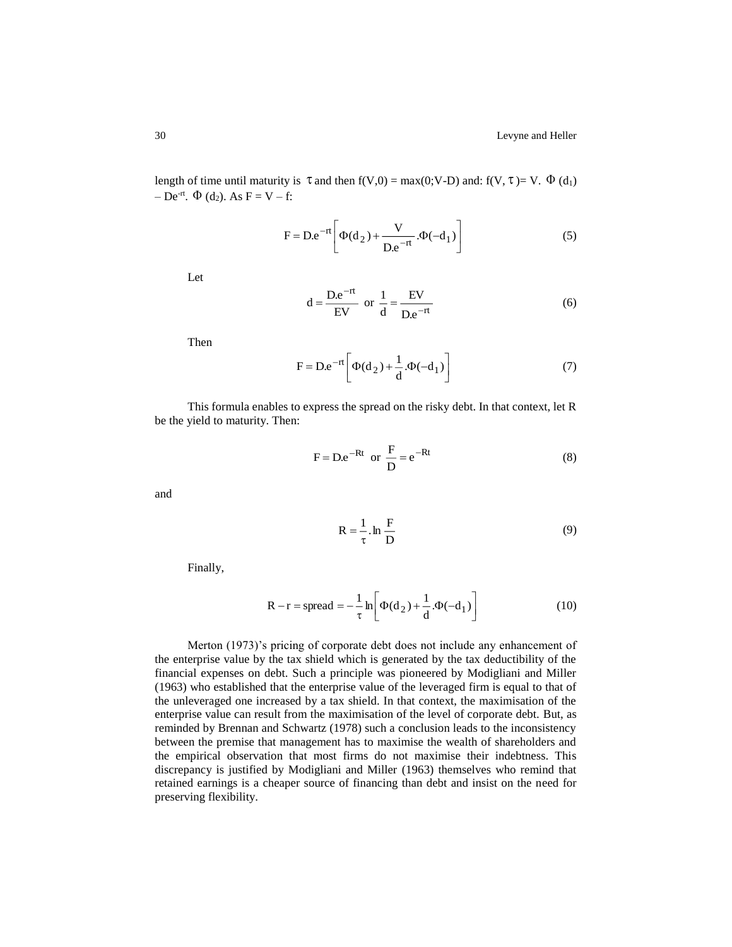length of time until maturity is  $\tau$  and then  $f(V,0) = max(0; V-D)$  and:  $f(V, \tau) = V$ .  $\Phi(d_1)$  $-$  De<sup>-rt</sup>.  $\Phi$  (d<sub>2</sub>). As F = V – f:

$$
F = D.e^{-rt} \left[ \Phi(d_2) + \frac{V}{D.e^{-rt}} . \Phi(-d_1) \right]
$$
 (5)

Let

$$
d = \frac{D.e^{-rt}}{EV}
$$
 or  $\frac{1}{d} = \frac{EV}{De^{-rt}}$  (6)

Then

$$
F = De^{-rt} \left[ \Phi(d_2) + \frac{1}{d} . \Phi(-d_1) \right]
$$
 (7)

This formula enables to express the spread on the risky debt. In that context, let R be the yield to maturity. Then:

$$
F = De^{-Rt} \text{ or } \frac{F}{D} = e^{-Rt} \tag{8}
$$

and

$$
R = \frac{1}{\tau} \cdot \ln \frac{F}{D}
$$
 (9)

Finally,

$$
R - r = spread = -\frac{1}{\tau} \ln \left[ \Phi(d_2) + \frac{1}{d} . \Phi(-d_1) \right]
$$
 (10)

Merton (1973)'s pricing of corporate debt does not include any enhancement of the enterprise value by the tax shield which is generated by the tax deductibility of the financial expenses on debt. Such a principle was pioneered by Modigliani and Miller (1963) who established that the enterprise value of the leveraged firm is equal to that of the unleveraged one increased by a tax shield. In that context, the maximisation of the enterprise value can result from the maximisation of the level of corporate debt. But, as reminded by Brennan and Schwartz (1978) such a conclusion leads to the inconsistency between the premise that management has to maximise the wealth of shareholders and the empirical observation that most firms do not maximise their indebtness. This discrepancy is justified by Modigliani and Miller (1963) themselves who remind that retained earnings is a cheaper source of financing than debt and insist on the need for preserving flexibility.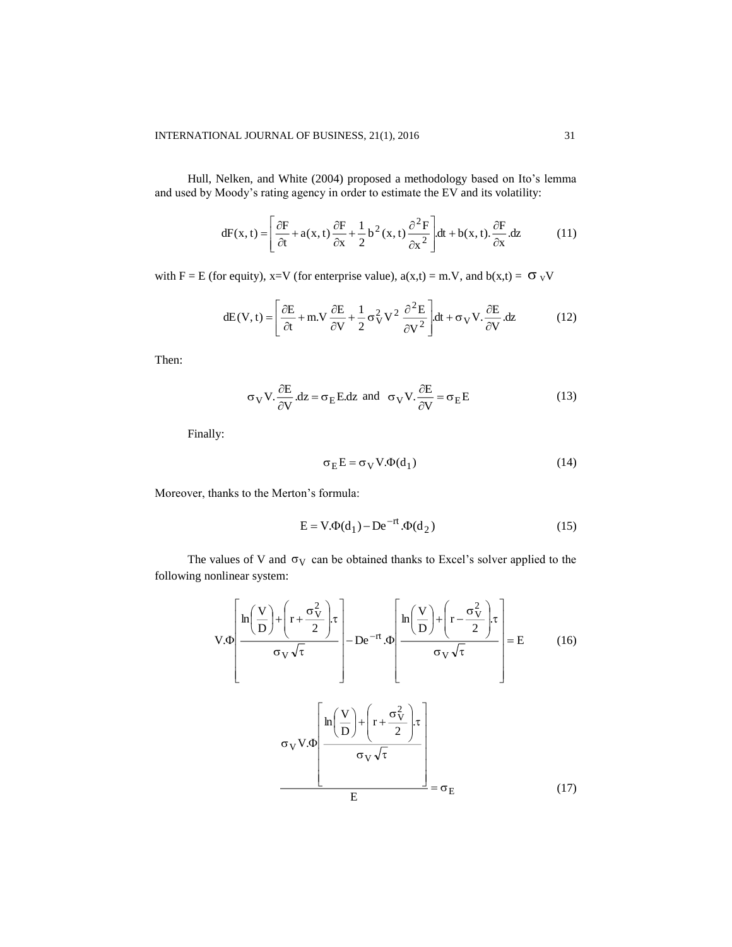Hull, Nelken, and White (2004) proposed a methodology based on Ito's lemma and used by Moody's rating agency in order to estimate the EV and its volatility:

$$
dF(x,t) = \left[\frac{\partial F}{\partial t} + a(x,t)\frac{\partial F}{\partial x} + \frac{1}{2}b^2(x,t)\frac{\partial^2 F}{\partial x^2}\right]dt + b(x,t).\frac{\partial F}{\partial x}dz
$$
(11)

with F = E (for equity), x=V (for enterprise value),  $a(x,t) = m.V$ , and  $b(x,t) = \sigma_V V$ 

$$
dE(V, t) = \left[\frac{\partial E}{\partial t} + m.V \frac{\partial E}{\partial V} + \frac{1}{2}\sigma_V^2 V^2 \frac{\partial^2 E}{\partial V^2}\right] dt + \sigma_V V \cdot \frac{\partial E}{\partial V} dz
$$
 (12)

Then:

$$
\sigma_V V. \frac{\partial E}{\partial V}.dz = \sigma_E E.dz
$$
 and  $\sigma_V V. \frac{\partial E}{\partial V} = \sigma_E E$  (13)

Finally:

$$
\sigma_E E = \sigma_V V . \Phi(d_1)
$$
 (14)

Moreover, thanks to the Merton's formula:

$$
E = V \cdot \Phi(d_1) - De^{-rt} \cdot \Phi(d_2)
$$
 (15)

The values of V and  $\sigma_V$  can be obtained thanks to Excel's solver applied to the following nonlinear system:

$$
V.\Phi\left[\frac{\ln\left(\frac{V}{D}\right) + \left(r + \frac{\sigma_V^2}{2}\right)\tau}{\sigma_V\sqrt{\tau}}\right] - De^{-rt}.\Phi\left[\frac{\ln\left(\frac{V}{D}\right) + \left(r - \frac{\sigma_V^2}{2}\right)\tau}{\sigma_V\sqrt{\tau}}\right] = E \qquad (16)
$$

$$
\frac{\sigma_V V.\Phi\left[\frac{\ln\left(\frac{V}{D}\right) + \left(r + \frac{\sigma_V^2}{2}\right)\tau}{\sigma_V\sqrt{\tau}}\right]}{\sigma_V\sqrt{\tau}} = \sigma_E \qquad (17)
$$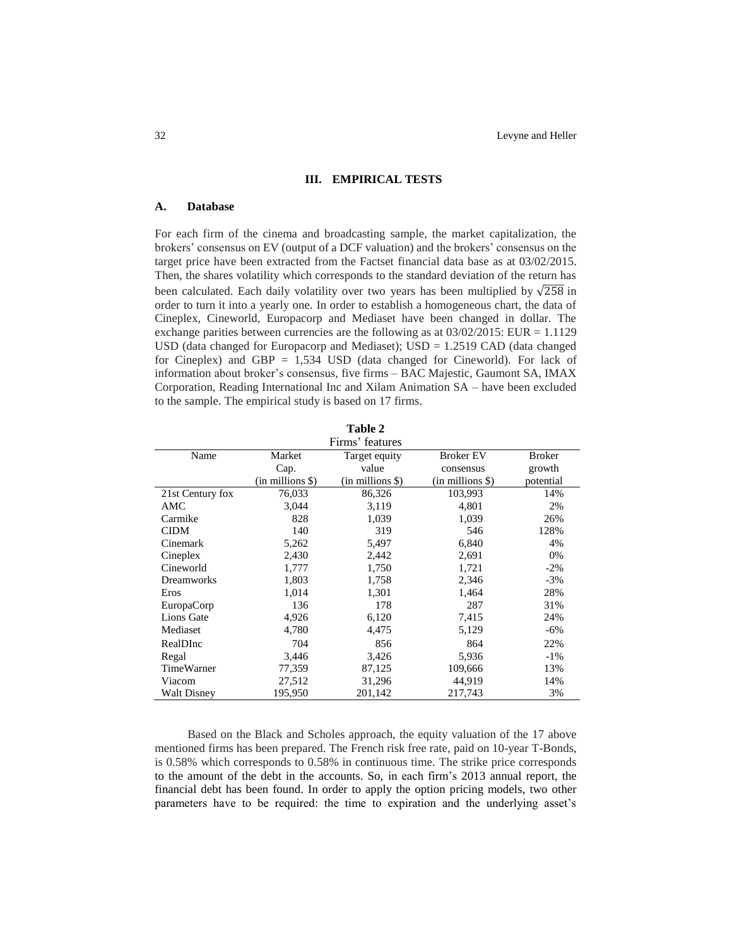#### **III. EMPIRICAL TESTS**

#### **A. Database**

For each firm of the cinema and broadcasting sample, the market capitalization, the brokers' consensus on EV (output of a DCF valuation) and the brokers' consensus on the target price have been extracted from the Factset financial data base as at 03/02/2015. Then, the shares volatility which corresponds to the standard deviation of the return has been calculated. Each daily volatility over two years has been multiplied by  $\sqrt{258}$  in order to turn it into a yearly one. In order to establish a homogeneous chart, the data of Cineplex, Cineworld, Europacorp and Mediaset have been changed in dollar. The exchange parities between currencies are the following as at  $03/02/2015$ : EUR = 1.1129 USD (data changed for Europacorp and Mediaset);  $USD = 1.2519$  CAD (data changed for Cineplex) and GBP  $= 1.534$  USD (data changed for Cineworld). For lack of information about broker's consensus, five firms – BAC Majestic, Gaumont SA, IMAX Corporation, Reading International Inc and Xilam Animation SA – have been excluded to the sample. The empirical study is based on 17 firms.

| Table 2         |
|-----------------|
| Firms' features |
| Target equity   |
| مبياويد         |

| Name               | Market               | Target equity    | <b>Broker EV</b>     | <b>Broker</b> |
|--------------------|----------------------|------------------|----------------------|---------------|
|                    | Cap.                 | value            | consensus            | growth        |
|                    | $(in$ millions $\})$ | (in millions \$) | $(in$ millions $\})$ | potential     |
| 21st Century fox   | 76,033               | 86,326           | 103.993              | 14%           |
| AMC                | 3,044                | 3,119            | 4,801                | 2%            |
| Carmike            | 828                  | 1,039            | 1,039                | 26%           |
| <b>CIDM</b>        | 140                  | 319              | 546                  | 128%          |
| Cinemark           | 5,262                | 5,497            | 6,840                | 4%            |
| Cineplex           | 2,430                | 2,442            | 2,691                | 0%            |
| Cineworld          | 1,777                | 1,750            | 1,721                | $-2\%$        |
| <b>Dreamworks</b>  | 1,803                | 1,758            | 2,346                | $-3%$         |
| Eros               | 1,014                | 1,301            | 1,464                | 28%           |
| EuropaCorp         | 136                  | 178              | 287                  | 31%           |
| Lions Gate         | 4,926                | 6,120            | 7,415                | 24%           |
| Mediaset           | 4,780                | 4,475            | 5,129                | -6%           |
| RealDInc           | 704                  | 856              | 864                  | 22%           |
| Regal              | 3,446                | 3,426            | 5,936                | $-1\%$        |
| <b>TimeWarner</b>  | 77,359               | 87,125           | 109,666              | 13%           |
| Viacom             | 27,512               | 31,296           | 44,919               | 14%           |
| <b>Walt Disney</b> | 195,950              | 201,142          | 217,743              | 3%            |

Based on the Black and Scholes approach, the equity valuation of the 17 above mentioned firms has been prepared. The French risk free rate, paid on 10-year T-Bonds, is 0.58% which corresponds to 0.58% in continuous time. The strike price corresponds to the amount of the debt in the accounts. So, in each firm's 2013 annual report, the financial debt has been found. In order to apply the option pricing models, two other parameters have to be required: the time to expiration and the underlying asset's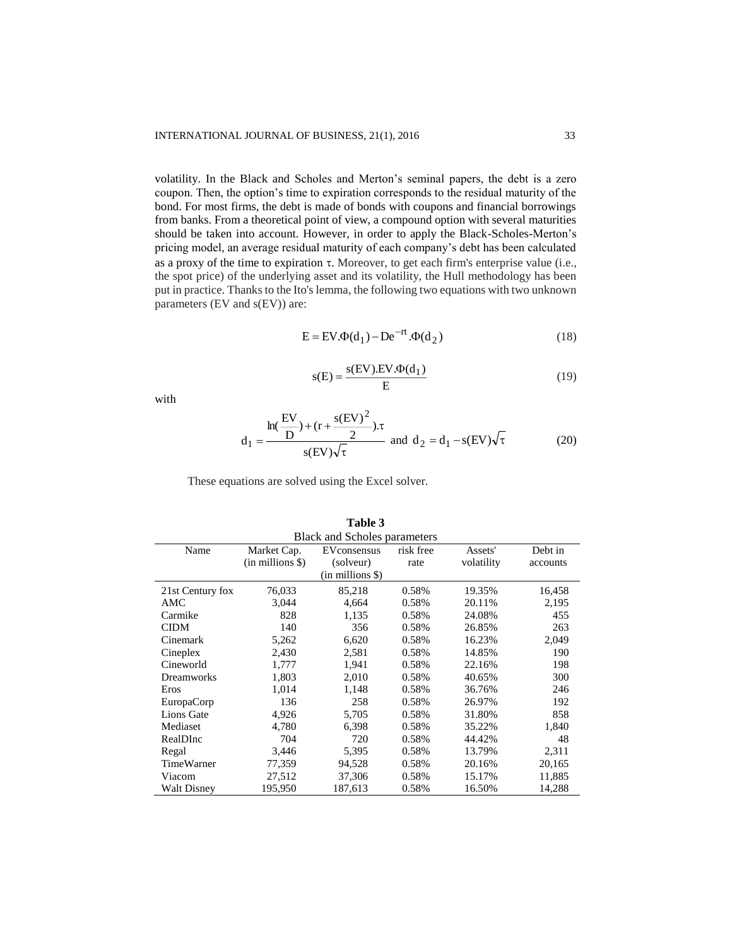volatility. In the Black and Scholes and Merton's seminal papers, the debt is a zero coupon. Then, the option's time to expiration corresponds to the residual maturity of the bond. For most firms, the debt is made of bonds with coupons and financial borrowings from banks. From a theoretical point of view, a compound option with several maturities should be taken into account. However, in order to apply the Black-Scholes-Merton's pricing model, an average residual maturity of each company's debt has been calculated as a proxy of the time to expiration  $\tau$ . Moreover, to get each firm's enterprise value (i.e., the spot price) of the underlying asset and its volatility, the Hull methodology has been put in practice. Thanks to the Ito's lemma, the following two equations with two unknown parameters (EV and s(EV)) are:

$$
E = EV. \Phi(d_1) - De^{-rt}. \Phi(d_2)
$$
\n(18)

$$
s(E) = \frac{s(EV) \cdot EV \cdot \Phi(d_1)}{E} \tag{19}
$$

with

$$
d_1 = \frac{\ln(\frac{EV}{D}) + (r + \frac{s(EV)^2}{2}) \tau}{s(EV)\sqrt{\tau}} \text{ and } d_2 = d_1 - s(EV)\sqrt{\tau}
$$
 (20)

These equations are solved using the Excel solver.

| <b>Black and Scholes parameters</b> |                                     |                                              |                   |                       |                     |
|-------------------------------------|-------------------------------------|----------------------------------------------|-------------------|-----------------------|---------------------|
| Name                                | Market Cap.<br>$(in$ millions $\})$ | EVconsensus<br>(solveur)<br>(in millions \$) | risk free<br>rate | Assets'<br>volatility | Debt in<br>accounts |
| 21st Century fox                    | 76,033                              | 85,218                                       | 0.58%             | 19.35%                | 16,458              |
| AMC                                 | 3,044                               | 4,664                                        | 0.58%             | 20.11%                | 2,195               |
| Carmike                             | 828                                 | 1,135                                        | 0.58%             | 24.08%                | 455                 |
| <b>CIDM</b>                         | 140                                 | 356                                          | 0.58%             | 26.85%                | 263                 |
| Cinemark                            | 5,262                               | 6,620                                        | 0.58%             | 16.23%                | 2,049               |
| Cineplex                            | 2,430                               | 2,581                                        | 0.58%             | 14.85%                | 190                 |
| Cineworld                           | 1,777                               | 1,941                                        | 0.58%             | 22.16%                | 198                 |
| <b>Dreamworks</b>                   | 1,803                               | 2,010                                        | 0.58%             | 40.65%                | 300                 |
| Eros                                | 1,014                               | 1,148                                        | 0.58%             | 36.76%                | 246                 |
| EuropaCorp                          | 136                                 | 258                                          | 0.58%             | 26.97%                | 192                 |
| Lions Gate                          | 4,926                               | 5,705                                        | 0.58%             | 31.80%                | 858                 |
| Mediaset                            | 4,780                               | 6,398                                        | 0.58%             | 35.22%                | 1,840               |
| RealDInc                            | 704                                 | 720                                          | 0.58%             | 44.42%                | 48                  |
| Regal                               | 3,446                               | 5,395                                        | 0.58%             | 13.79%                | 2,311               |
| <b>TimeWarner</b>                   | 77,359                              | 94,528                                       | 0.58%             | 20.16%                | 20,165              |
| Viacom                              | 27,512                              | 37,306                                       | 0.58%             | 15.17%                | 11,885              |
| <b>Walt Disney</b>                  | 195,950                             | 187,613                                      | 0.58%             | 16.50%                | 14,288              |

|  |  | Table 3 |  |  |
|--|--|---------|--|--|
|  |  |         |  |  |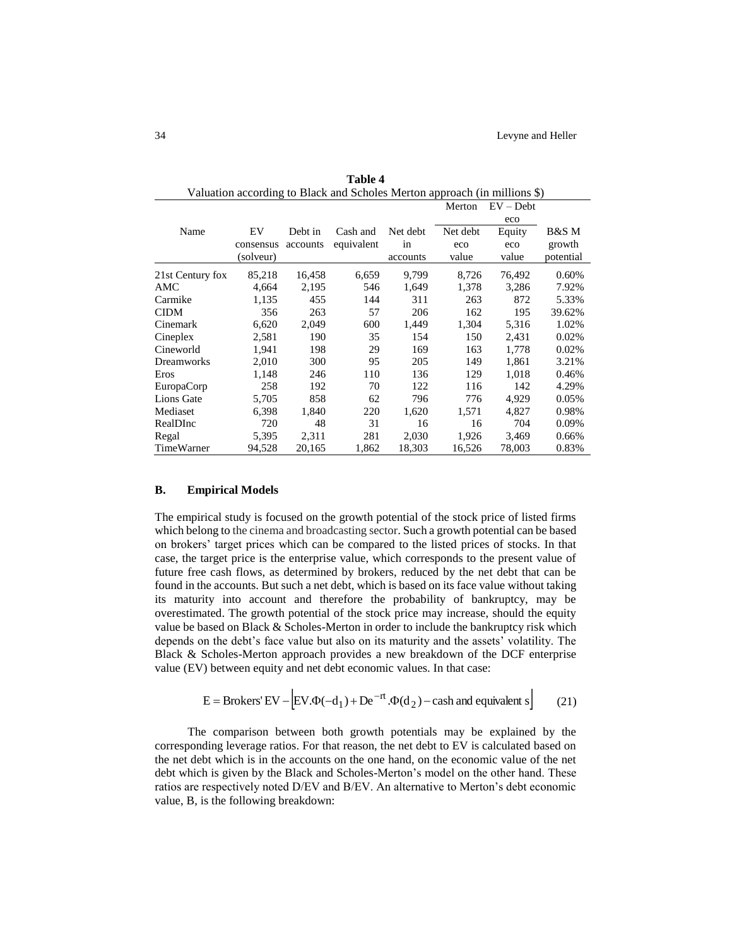|                   |           |          |            |          | Merton   | $EV - Debt$ |           |
|-------------------|-----------|----------|------------|----------|----------|-------------|-----------|
|                   |           |          |            |          |          | eco         |           |
| Name              | EV        | Debt in  | Cash and   | Net debt | Net debt | Equity      | B&S M     |
|                   | consensus | accounts | equivalent | in       | eco      | eco         | growth    |
|                   | (solveur) |          |            | accounts | value    | value       | potential |
| 21st Century fox  | 85,218    | 16,458   | 6,659      | 9.799    | 8,726    | 76,492      | 0.60%     |
| AMC               | 4,664     | 2,195    | 546        | 1,649    | 1,378    | 3,286       | 7.92%     |
| Carmike           | 1,135     | 455      | 144        | 311      | 263      | 872         | 5.33%     |
| <b>CIDM</b>       | 356       | 263      | 57         | 206      | 162      | 195         | 39.62%    |
| Cinemark          | 6,620     | 2,049    | 600        | 1,449    | 1,304    | 5,316       | 1.02%     |
| Cineplex          | 2,581     | 190      | 35         | 154      | 150      | 2,431       | 0.02%     |
| Cineworld         | 1.941     | 198      | 29         | 169      | 163      | 1.778       | 0.02%     |
| <b>Dreamworks</b> | 2,010     | 300      | 95         | 205      | 149      | 1,861       | 3.21%     |
| Eros              | 1,148     | 246      | 110        | 136      | 129      | 1,018       | 0.46%     |
| EuropaCorp        | 258       | 192      | 70         | 122      | 116      | 142         | 4.29%     |
| Lions Gate        | 5,705     | 858      | 62         | 796      | 776      | 4,929       | 0.05%     |
| Mediaset          | 6,398     | 1,840    | 220        | 1,620    | 1,571    | 4,827       | 0.98%     |
| RealDInc          | 720       | 48       | 31         | 16       | 16       | 704         | 0.09%     |
| Regal             | 5,395     | 2,311    | 281        | 2,030    | 1,926    | 3,469       | 0.66%     |
| TimeWarner        | 94,528    | 20,165   | 1,862      | 18,303   | 16,526   | 78,003      | 0.83%     |

**Table 4** Valuation according to Black and Scholes Merton approach (in millions \$)

### **B. Empirical Models**

The empirical study is focused on the growth potential of the stock price of listed firms which belong to the cinema and broadcasting sector. Such a growth potential can be based on brokers' target prices which can be compared to the listed prices of stocks. In that case, the target price is the enterprise value, which corresponds to the present value of future free cash flows, as determined by brokers, reduced by the net debt that can be found in the accounts. But such a net debt, which is based on its face value without taking its maturity into account and therefore the probability of bankruptcy, may be overestimated. The growth potential of the stock price may increase, should the equity value be based on Black & Scholes-Merton in order to include the bankruptcy risk which depends on the debt's face value but also on its maturity and the assets' volatility. The Black & Scholes-Merton approach provides a new breakdown of the DCF enterprise value (EV) between equity and net debt economic values. In that case:

$$
E = \text{Brokers}' \, \text{EV} - \left[ \text{EV} \cdot \Phi(-d_1) + \text{De}^{-rt} \cdot \Phi(d_2) - \text{cash and equivalent s} \right] \tag{21}
$$

The comparison between both growth potentials may be explained by the corresponding leverage ratios. For that reason, the net debt to EV is calculated based on the net debt which is in the accounts on the one hand, on the economic value of the net debt which is given by the Black and Scholes-Merton's model on the other hand. These ratios are respectively noted D/EV and B/EV. An alternative to Merton's debt economic value, B, is the following breakdown: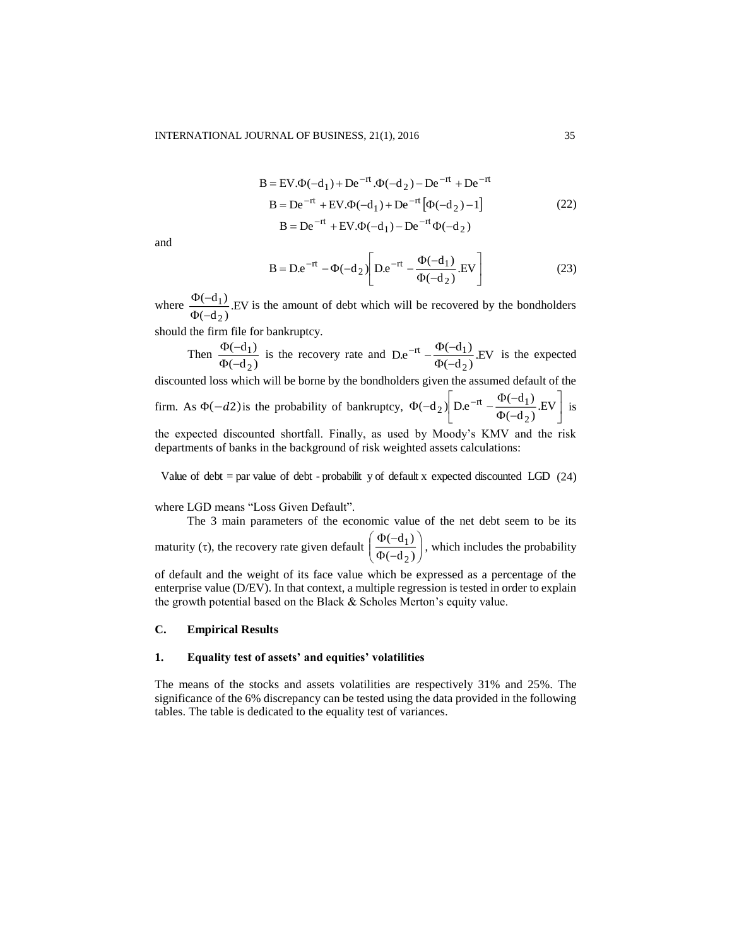$$
B = EV. \Phi(-d_1) + De^{-rt} . \Phi(-d_2) - De^{-rt} + De^{-rt}
$$
  
\n
$$
B = De^{-rt} + EV. \Phi(-d_1) + De^{-rt} [\Phi(-d_2) - 1]
$$
  
\n
$$
B = De^{-rt} + EV. \Phi(-d_1) - De^{-rt} \Phi(-d_2)
$$
\n(22)

and

$$
B = De^{-rt} - \Phi(-d_2) \left[ De^{-rt} - \frac{\Phi(-d_1)}{\Phi(-d_2)} . EV \right]
$$
 (23)

where  $\frac{P(-a_1)}{\Phi(-d_2)}$ . EV  $(-d_1)$ 2 1  $\Phi(\neg$  $\frac{\Phi(-d_1)}{\Phi(-d_1)}$ . EV is the amount of debt which will be recovered by the bondholders

should the firm file for bankruptcy.

Then  $\frac{1}{\Phi(-d_2)}$  $(-d_1)$ 2 1  $\Phi(\neg$  $\frac{\Phi(-d_1)}{\Phi(-d_2)}$  is the recovery rate and  $De^{-rt} - \frac{\Phi(-d_1)}{\Phi(-d_2)}$ . EV  $D.e^{-rt} - \frac{\Phi(-d_1)}{r}$ 2 rt  $\Psi$ ( $\Psi$  $\Phi( -\text{rt} - \frac{\Phi(-\text{d}_1)}{\Phi(-\text{d}_1)}$ . EV is the expected discounted loss which will be borne by the bondholders given the assumed default of the

firm. As  $\Phi(-d2)$  is the probability of bankruptcy, |  $\overline{\phantom{a}}$  $\overline{\phantom{a}}$ L Г  $\Phi( \Phi(-d_2)$  D.e<sup>-rt</sup>  $-\frac{\Phi(-d_1)}{\Phi(-d_2)}$ .EV  $(-d_2)$  D.e<sup>-rt</sup>  $-\frac{\Phi(-d_1)}{\Phi(-d_1)}$ 2 2) D.e<sup>-rt</sup>  $-\frac{\Phi(-\mu_1)}{\Phi(-\mu_2)}$ .EV is

the expected discounted shortfall. Finally, as used by Moody's KMV and the risk departments of banks in the background of risk weighted assets calculations:

Value of debt = par value of debt - probabilit y of default x expected discounted LGD (24)

where LGD means "Loss Given Default".

The 3 main parameters of the economic value of the net debt seem to be its maturity  $(\tau)$ , the recovery rate given default  $\overline{\phantom{a}}$ | J  $\backslash$  $\overline{\phantom{a}}$ l ſ  $\Phi( \Phi( (-d_2)$  $(-d_1)$ 2  $\frac{1}{x}$ , which includes the probability

of default and the weight of its face value which be expressed as a percentage of the enterprise value (D/EV). In that context, a multiple regression is tested in order to explain the growth potential based on the Black & Scholes Merton's equity value.

## **C. Empirical Results**

#### **1. Equality test of assets' and equities' volatilities**

The means of the stocks and assets volatilities are respectively 31% and 25%. The significance of the 6% discrepancy can be tested using the data provided in the following tables. The table is dedicated to the equality test of variances.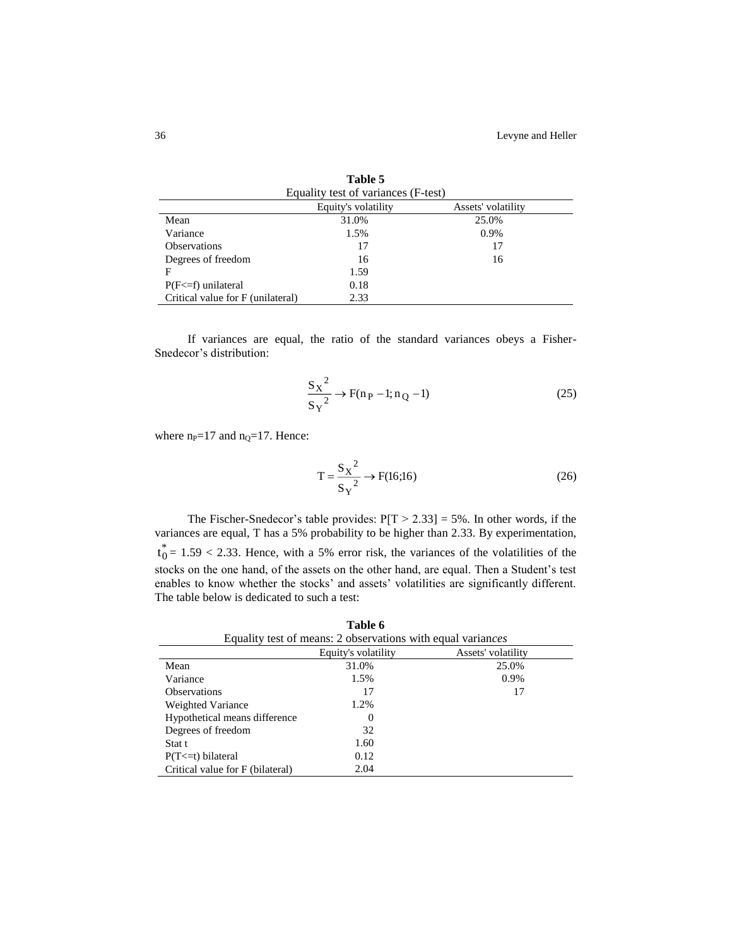|                                   | Table 5                             |                    |
|-----------------------------------|-------------------------------------|--------------------|
|                                   | Equality test of variances (F-test) |                    |
|                                   | Equity's volatility                 | Assets' volatility |
| Mean                              | 31.0%                               | 25.0%              |
| Variance                          | 1.5%                                | 0.9%               |
| <b>Observations</b>               | 17                                  | 17                 |
| Degrees of freedom                | 16                                  | 16                 |
| F                                 | 1.59                                |                    |
| $P(F \leq f)$ unilateral          | 0.18                                |                    |
| Critical value for F (unilateral) | 2.33                                |                    |

If variances are equal, the ratio of the standard variances obeys a Fisher-Snedecor's distribution:

$$
\frac{S_X^2}{S_Y^2} \to F(n_P - 1; n_Q - 1)
$$
 (25)

where  $n_P=17$  and  $n_Q=17$ . Hence:

$$
T = \frac{S_X^2}{S_Y^2} \to F(16;16)
$$
 (26)

The Fischer-Snedecor's table provides:  $P[T > 2.33] = 5\%$ . In other words, if the variances are equal, T has a 5% probability to be higher than 2.33. By experimentation,  $t_0^* = 1.59 < 2.33$ . Hence, with a 5% error risk, the variances of the volatilities of the stocks on the one hand, of the assets on the other hand, are equal. Then a Student's test enables to know whether the stocks' and assets' volatilities are significantly different. The table below is dedicated to such a test:

| Table 6<br>Equality test of means: 2 observations with equal variances |          |       |  |  |  |  |
|------------------------------------------------------------------------|----------|-------|--|--|--|--|
| Equity's volatility<br>Assets' volatility                              |          |       |  |  |  |  |
| Mean                                                                   | 31.0%    | 25.0% |  |  |  |  |
| Variance                                                               | 1.5%     | 0.9%  |  |  |  |  |
| <b>Observations</b>                                                    | 17       | 17    |  |  |  |  |
| Weighted Variance                                                      | 1.2%     |       |  |  |  |  |
| Hypothetical means difference                                          | $\Omega$ |       |  |  |  |  |
| Degrees of freedom                                                     | 32       |       |  |  |  |  |
| Stat t                                                                 | 1.60     |       |  |  |  |  |
| $P(T \le t)$ bilateral                                                 | 0.12     |       |  |  |  |  |
| Critical value for F (bilateral)                                       | 2.04     |       |  |  |  |  |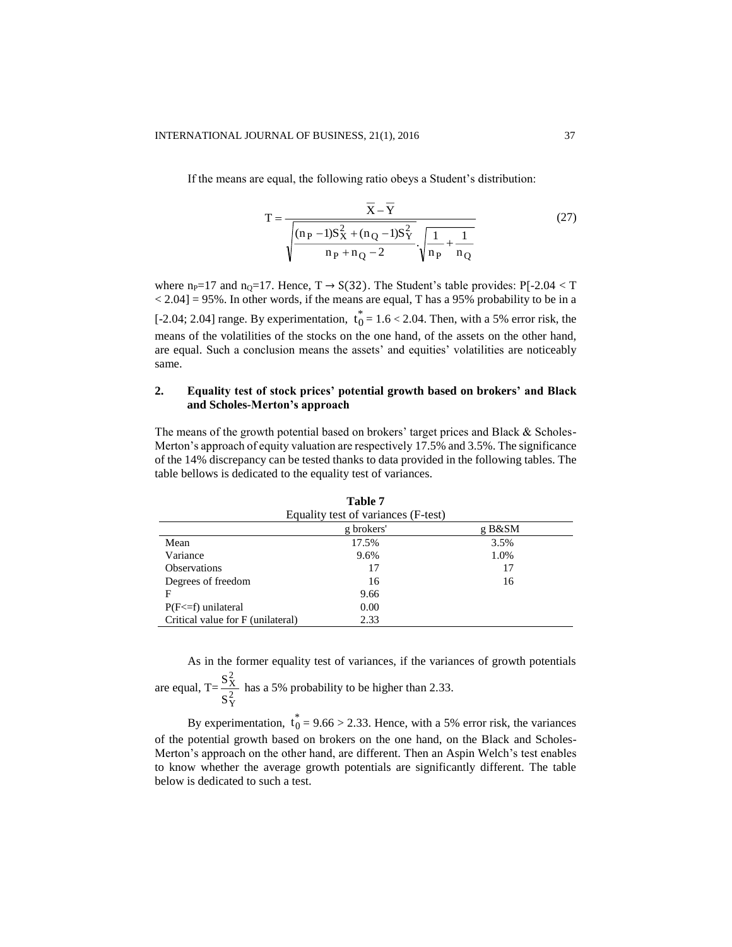If the means are equal, the following ratio obeys a Student's distribution:

$$
T = \frac{\overline{X} - \overline{Y}}{\sqrt{\frac{(n_P - 1)S_X^2 + (n_Q - 1)S_Y^2}{n_P + n_Q - 2}} \cdot \sqrt{\frac{1}{n_P} + \frac{1}{n_Q}}}
$$
(27)

where n<sub>P</sub>=17 and n<sub>0</sub>=17. Hence,  $T \rightarrow S(32)$ . The Student's table provides: P[-2.04 < T  $\langle 2.04 \rangle$  = 95%. In other words, if the means are equal, T has a 95% probability to be in a [-2.04; 2.04] range. By experimentation,  $t_0^* = 1.6 < 2.04$ . Then, with a 5% error risk, the means of the volatilities of the stocks on the one hand, of the assets on the other hand, are equal. Such a conclusion means the assets' and equities' volatilities are noticeably same.

## **2. Equality test of stock prices' potential growth based on brokers' and Black and Scholes-Merton's approach**

The means of the growth potential based on brokers' target prices and Black & Scholes-Merton's approach of equity valuation are respectively 17.5% and 3.5%. The significance of the 14% discrepancy can be tested thanks to data provided in the following tables. The table bellows is dedicated to the equality test of variances.

| Equality test of variances (F-test) |       |      |  |  |  |  |
|-------------------------------------|-------|------|--|--|--|--|
| g brokers'<br>g B&SM                |       |      |  |  |  |  |
| Mean                                | 17.5% | 3.5% |  |  |  |  |
| Variance                            | 9.6%  | 1.0% |  |  |  |  |
| <b>Observations</b>                 | 17    | 17   |  |  |  |  |
| Degrees of freedom                  | 16    | 16   |  |  |  |  |
| F                                   | 9.66  |      |  |  |  |  |
| $P(F \leq f)$ unilateral            | 0.00  |      |  |  |  |  |
| Critical value for F (unilateral)   | 2.33  |      |  |  |  |  |

**Table 7**

As in the former equality test of variances, if the variances of growth potentials 2 X

are equal,  $T = \frac{5 \lambda}{S_{Y}^2}$ S  $\frac{S_{\rm X}^{2}}{2}$  has a 5% probability to be higher than 2.33.

By experimentation,  $t_0^* = 9.66 > 2.33$ . Hence, with a 5% error risk, the variances of the potential growth based on brokers on the one hand, on the Black and Scholes-Merton's approach on the other hand, are different. Then an Aspin Welch's test enables to know whether the average growth potentials are significantly different. The table below is dedicated to such a test.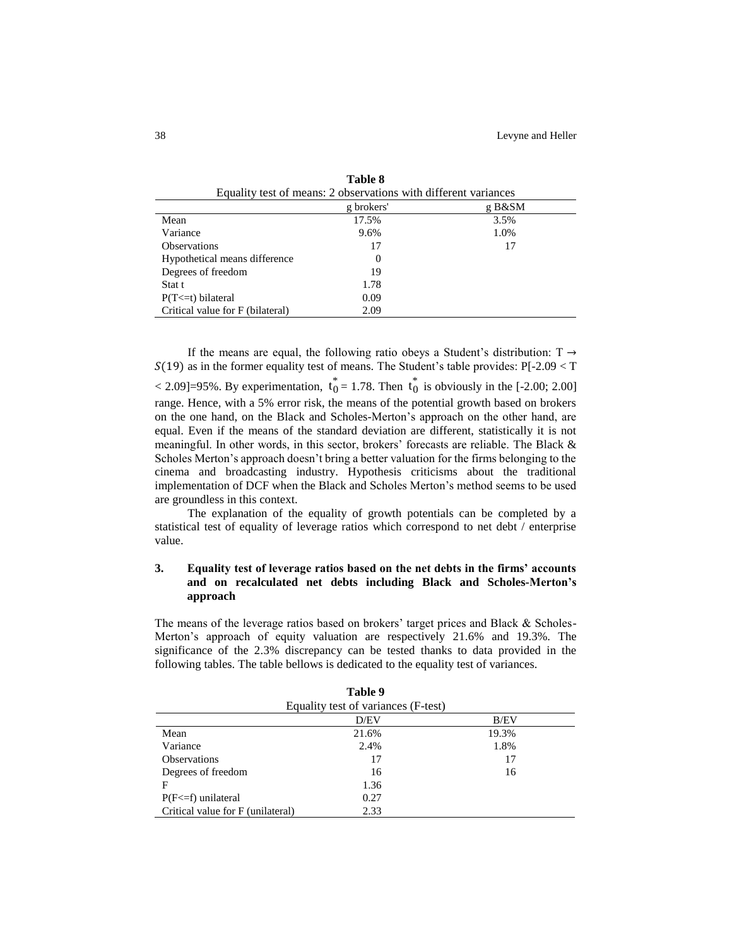| Equality test of means: 2 observations with different variances |       |      |  |  |  |  |  |
|-----------------------------------------------------------------|-------|------|--|--|--|--|--|
| g brokers'<br>g B&SM                                            |       |      |  |  |  |  |  |
| Mean                                                            | 17.5% | 3.5% |  |  |  |  |  |
| Variance                                                        | 9.6%  | 1.0% |  |  |  |  |  |
| <b>Observations</b>                                             | 17    | 17   |  |  |  |  |  |
| Hypothetical means difference                                   | 0     |      |  |  |  |  |  |
| Degrees of freedom                                              | 19    |      |  |  |  |  |  |
| Stat t                                                          | 1.78  |      |  |  |  |  |  |
| $P(T \le t)$ bilateral                                          | 0.09  |      |  |  |  |  |  |
| Critical value for F (bilateral)                                | 2.09  |      |  |  |  |  |  |

|  | Table 8                                                         |  |  |
|--|-----------------------------------------------------------------|--|--|
|  | Equality test of means: 2 observations with different variances |  |  |

If the means are equal, the following ratio obeys a Student's distribution:  $T \rightarrow$  $S(19)$  as in the former equality test of means. The Student's table provides: P[-2.09 < T  $\langle 2.09] = 95\%$ . By experimentation,  $t_0^* = 1.78$ . Then  $t_0^*$  is obviously in the [-2.00; 2.00] range. Hence, with a 5% error risk, the means of the potential growth based on brokers on the one hand, on the Black and Scholes-Merton's approach on the other hand, are equal. Even if the means of the standard deviation are different, statistically it is not meaningful. In other words, in this sector, brokers' forecasts are reliable. The Black & Scholes Merton's approach doesn't bring a better valuation for the firms belonging to the cinema and broadcasting industry. Hypothesis criticisms about the traditional implementation of DCF when the Black and Scholes Merton's method seems to be used are groundless in this context.

The explanation of the equality of growth potentials can be completed by a statistical test of equality of leverage ratios which correspond to net debt / enterprise value.

## **3. Equality test of leverage ratios based on the net debts in the firms' accounts and on recalculated net debts including Black and Scholes-Merton's approach**

The means of the leverage ratios based on brokers' target prices and Black & Scholes-Merton's approach of equity valuation are respectively 21.6% and 19.3%. The significance of the 2.3% discrepancy can be tested thanks to data provided in the following tables. The table bellows is dedicated to the equality test of variances.

|                                   | Equality test of variances (F-test) |       |  |
|-----------------------------------|-------------------------------------|-------|--|
|                                   | D/EV                                | B/EV  |  |
| Mean                              | 21.6%                               | 19.3% |  |
| Variance                          | 2.4%                                | 1.8%  |  |
| <b>Observations</b>               | 17                                  | 17    |  |
| Degrees of freedom                | 16                                  | 16    |  |
| F                                 | 1.36                                |       |  |
| $P(F \leq f)$ unilateral          | 0.27                                |       |  |
| Critical value for F (unilateral) | 2.33                                |       |  |

| Table 9 |  |
|---------|--|
|---------|--|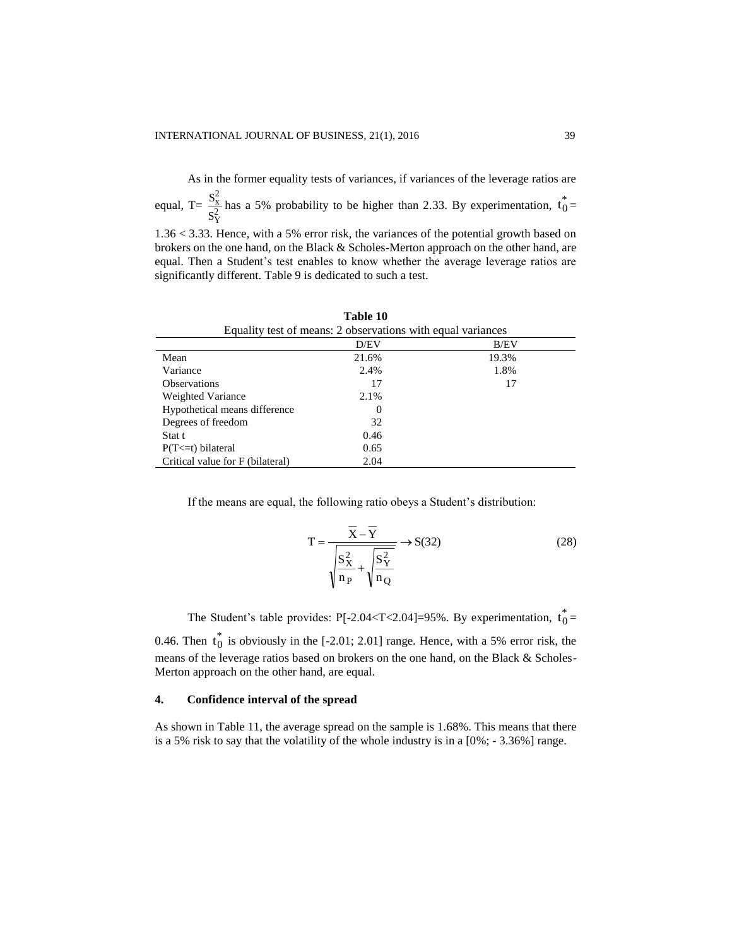As in the former equality tests of variances, if variances of the leverage ratios are S

equal, T=  $\frac{S_x^2}{S_Y^2}$  $\frac{S_x}{S_x^2}$  has a 5% probability to be higher than 2.33. By experimentation,  $t_0^* =$ 

1.36 < 3.33. Hence, with a 5% error risk, the variances of the potential growth based on brokers on the one hand, on the Black & Scholes-Merton approach on the other hand, are equal. Then a Student's test enables to know whether the average leverage ratios are significantly different. Table 9 is dedicated to such a test.

| Equality test of means: 2 observations with equal variances |       |       |  |  |  |
|-------------------------------------------------------------|-------|-------|--|--|--|
|                                                             | D/EV  | B/EV  |  |  |  |
| Mean                                                        | 21.6% | 19.3% |  |  |  |
| Variance                                                    | 2.4%  | 1.8%  |  |  |  |
| <b>Observations</b>                                         | 17    | 17    |  |  |  |
| Weighted Variance                                           | 2.1%  |       |  |  |  |
| Hypothetical means difference                               | 0     |       |  |  |  |
| Degrees of freedom                                          | 32    |       |  |  |  |
| Stat t                                                      | 0.46  |       |  |  |  |
| $P(T \le t)$ bilateral                                      | 0.65  |       |  |  |  |
| Critical value for F (bilateral)                            | 2.04  |       |  |  |  |

**Table 10**

If the means are equal, the following ratio obeys a Student's distribution:

$$
T = \frac{\overline{X} - \overline{Y}}{\sqrt{\frac{S_X^2}{n_P} + \sqrt{\frac{S_Y^2}{n_Q}}}} \to S(32)
$$
 (28)

The Student's table provides: P[-2.04 $\leq$ T $\lt$ 2.04]=95%. By experimentation,  $t_0^*$  =

0.46. Then  $t_0^*$  is obviously in the [-2.01; 2.01] range. Hence, with a 5% error risk, the means of the leverage ratios based on brokers on the one hand, on the Black & Scholes-Merton approach on the other hand, are equal.

## **4. Confidence interval of the spread**

As shown in Table 11, the average spread on the sample is 1.68%. This means that there is a 5% risk to say that the volatility of the whole industry is in a [0%; - 3.36%] range.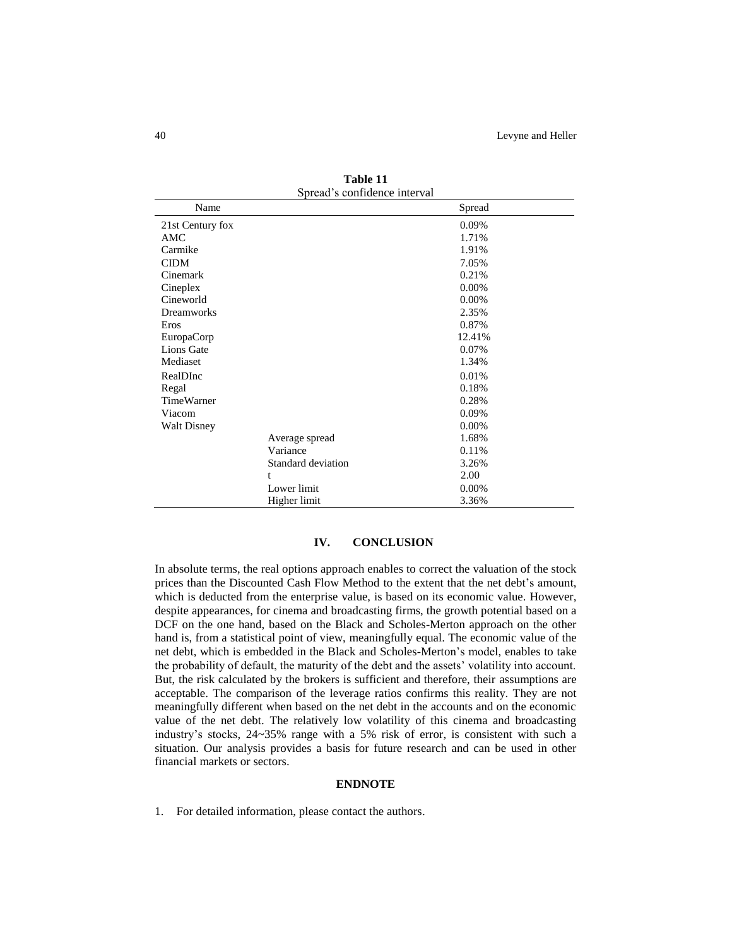| Spread's confidence interval |                    |        |  |  |
|------------------------------|--------------------|--------|--|--|
| Name                         |                    | Spread |  |  |
| 21st Century fox             |                    | 0.09%  |  |  |
| AMC                          |                    | 1.71%  |  |  |
| Carmike                      |                    | 1.91%  |  |  |
| <b>CIDM</b>                  |                    | 7.05%  |  |  |
| Cinemark                     |                    | 0.21%  |  |  |
| Cineplex                     |                    | 0.00%  |  |  |
| Cineworld                    |                    | 0.00%  |  |  |
| <b>Dreamworks</b>            |                    | 2.35%  |  |  |
| Eros                         |                    | 0.87%  |  |  |
| EuropaCorp                   |                    | 12.41% |  |  |
| Lions Gate                   |                    | 0.07%  |  |  |
| Mediaset                     |                    | 1.34%  |  |  |
| RealDInc                     |                    | 0.01%  |  |  |
| Regal                        |                    | 0.18%  |  |  |
| <b>TimeWarner</b>            |                    | 0.28%  |  |  |
| Viacom                       |                    | 0.09%  |  |  |
| <b>Walt Disney</b>           |                    | 0.00%  |  |  |
|                              | Average spread     | 1.68%  |  |  |
|                              | Variance           | 0.11%  |  |  |
|                              | Standard deviation | 3.26%  |  |  |
|                              | t                  | 2.00   |  |  |
|                              | Lower limit        | 0.00%  |  |  |
|                              | Higher limit       | 3.36%  |  |  |

**Table 11**

### **IV. CONCLUSION**

In absolute terms, the real options approach enables to correct the valuation of the stock prices than the Discounted Cash Flow Method to the extent that the net debt's amount, which is deducted from the enterprise value, is based on its economic value. However, despite appearances, for cinema and broadcasting firms, the growth potential based on a DCF on the one hand, based on the Black and Scholes-Merton approach on the other hand is, from a statistical point of view, meaningfully equal. The economic value of the net debt, which is embedded in the Black and Scholes-Merton's model, enables to take the probability of default, the maturity of the debt and the assets' volatility into account. But, the risk calculated by the brokers is sufficient and therefore, their assumptions are acceptable. The comparison of the leverage ratios confirms this reality. They are not meaningfully different when based on the net debt in the accounts and on the economic value of the net debt. The relatively low volatility of this cinema and broadcasting industry's stocks, 24~35% range with a 5% risk of error, is consistent with such a situation. Our analysis provides a basis for future research and can be used in other financial markets or sectors.

#### **ENDNOTE**

1. For detailed information, please contact the authors.